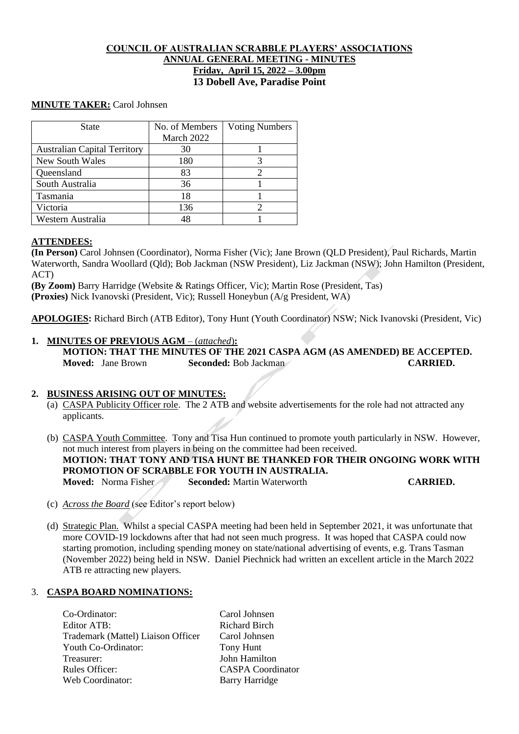# **COUNCIL OF AUSTRALIAN SCRABBLE PLAYERS' ASSOCIATIONS ANNUAL GENERAL MEETING - MINUTES Friday, April 15, 2022 – 3.00pm 13 Dobell Ave, Paradise Point**

# **MINUTE TAKER:** Carol Johnsen

| <b>State</b>                        | No. of Members | <b>Voting Numbers</b> |
|-------------------------------------|----------------|-----------------------|
|                                     | March 2022     |                       |
| <b>Australian Capital Territory</b> | 30             |                       |
| New South Wales                     | 180            |                       |
| Queensland                          | 83             |                       |
| South Australia                     | 36             |                       |
| Tasmania                            | 18             |                       |
| Victoria                            | 136            |                       |
| Western Australia                   |                |                       |

### **ATTENDEES:**

**(In Person)** Carol Johnsen (Coordinator), Norma Fisher (Vic); Jane Brown (QLD President), Paul Richards, Martin Waterworth, Sandra Woollard (Qld); Bob Jackman (NSW President), Liz Jackman (NSW); John Hamilton (President, ACT)

**(By Zoom)** Barry Harridge (Website & Ratings Officer, Vic); Martin Rose (President, Tas) **(Proxies)** Nick Ivanovski (President, Vic); Russell Honeybun (A/g President, WA)

**APOLOGIES:** Richard Birch (ATB Editor), Tony Hunt (Youth Coordinator) NSW; Nick Ivanovski (President, Vic)

# **1. MINUTES OF PREVIOUS AGM** – (*attached*)**:**

**MOTION: THAT THE MINUTES OF THE 2021 CASPA AGM (AS AMENDED) BE ACCEPTED. Moved:** Jane Brown **Seconded:** Bob Jackman **CARRIED. CARRIED.** 

### **2. BUSINESS ARISING OUT OF MINUTES:**

- (a) CASPA Publicity Officer role. The 2 ATB and website advertisements for the role had not attracted any applicants.
- (b) CASPA Youth Committee. Tony and Tisa Hun continued to promote youth particularly in NSW. However, not much interest from players in being on the committee had been received. **MOTION: THAT TONY AND TISA HUNT BE THANKED FOR THEIR ONGOING WORK WITH PROMOTION OF SCRABBLE FOR YOUTH IN AUSTRALIA. Moved:** Norma Fisher **Seconded:** Martin Waterworth **CARRIED.**
- (c) *Across the Board* (see Editor's report below)
- (d) Strategic Plan. Whilst a special CASPA meeting had been held in September 2021, it was unfortunate that more COVID-19 lockdowns after that had not seen much progress. It was hoped that CASPA could now starting promotion, including spending money on state/national advertising of events, e.g. Trans Tasman (November 2022) being held in NSW. Daniel Piechnick had written an excellent article in the March 2022 ATB re attracting new players.

### 3. **CASPA BOARD NOMINATIONS:**

Co-Ordinator: Carol Johnsen Editor ATB: Richard Birch Trademark (Mattel) Liaison Officer Carol Johnsen Youth Co-Ordinator: Tony Hunt Treasurer: John Hamilton Rules Officer: CASPA Coordinator Web Coordinator: Barry Harridge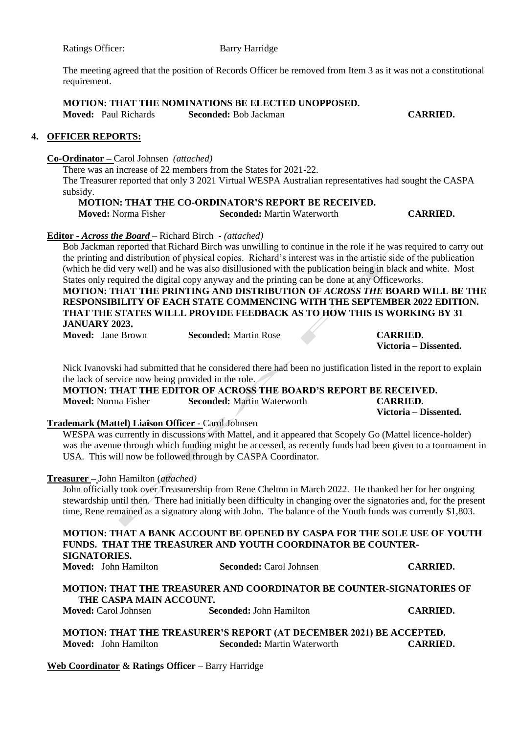Ratings Officer: Barry Harridge

The meeting agreed that the position of Records Officer be removed from Item 3 as it was not a constitutional requirement.

**MOTION: THAT THE NOMINATIONS BE ELECTED UNOPPOSED. Moved:** Paul Richards **Seconded:** Bob Jackman **CARRIED.**

#### **4. OFFICER REPORTS:**

### **Co-Ordinator –** Carol Johnsen *(attached)*

There was an increase of 22 members from the States for 2021-22.

The Treasurer reported that only 3 2021 Virtual WESPA Australian representatives had sought the CASPA subsidy.

**MOTION: THAT THE CO-ORDINATOR'S REPORT BE RECEIVED. Moved:** Norma Fisher **Seconded:** Martin Waterworth **CARRIED.**

### **Editor -** *Across the Board* – Richard Birch - *(attached)*

Bob Jackman reported that Richard Birch was unwilling to continue in the role if he was required to carry out the printing and distribution of physical copies. Richard's interest was in the artistic side of the publication (which he did very well) and he was also disillusioned with the publication being in black and white. Most States only required the digital copy anyway and the printing can be done at any Officeworks.

**MOTION: THAT THE PRINTING AND DISTRIBUTION OF** *ACROSS THE* **BOARD WILL BE THE RESPONSIBILITY OF EACH STATE COMMENCING WITH THE SEPTEMBER 2022 EDITION. THAT THE STATES WILLL PROVIDE FEEDBACK AS TO HOW THIS IS WORKING BY 31 JANUARY 2023.**

**Moved:** Jane Brown **Seconded:** Martin Rose **CARRIED.**

**Victoria – Dissented.**

Nick Ivanovski had submitted that he considered there had been no justification listed in the report to explain the lack of service now being provided in the role.

**MOTION: THAT THE EDITOR OF ACROSS THE BOARD'S REPORT BE RECEIVED. Moved:** Norma Fisher **Seconded:** Martin Waterworth **CARRIED. Victoria – Dissented.**

## **Trademark (Mattel) Liaison Officer -** Carol Johnsen

WESPA was currently in discussions with Mattel, and it appeared that Scopely Go (Mattel licence-holder) was the avenue through which funding might be accessed, as recently funds had been given to a tournament in USA. This will now be followed through by CASPA Coordinator.

#### **Treasurer –** John Hamilton (*attached)*

John officially took over Treasurership from Rene Chelton in March 2022. He thanked her for her ongoing stewardship until then. There had initially been difficulty in changing over the signatories and, for the present time, Rene remained as a signatory along with John. The balance of the Youth funds was currently \$1,803.

**MOTION: THAT A BANK ACCOUNT BE OPENED BY CASPA FOR THE SOLE USE OF YOUTH FUNDS. THAT THE TREASURER AND YOUTH COORDINATOR BE COUNTER-SIGNATORIES. Moved:** John Hamilton **Seconded:** Carol Johnsen **CARRIED.**

# **MOTION: THAT THE TREASURER AND COORDINATOR BE COUNTER-SIGNATORIES OF THE CASPA MAIN ACCOUNT.**

**Moved:** Carol Johnsen **Seconded:** John Hamilton **CARRIED.**

**MOTION: THAT THE TREASURER'S REPORT (AT DECEMBER 2021) BE ACCEPTED. Movement: Martin Waterworth CARRIED.** 

**Web Coordinator & Ratings Officer** – Barry Harridge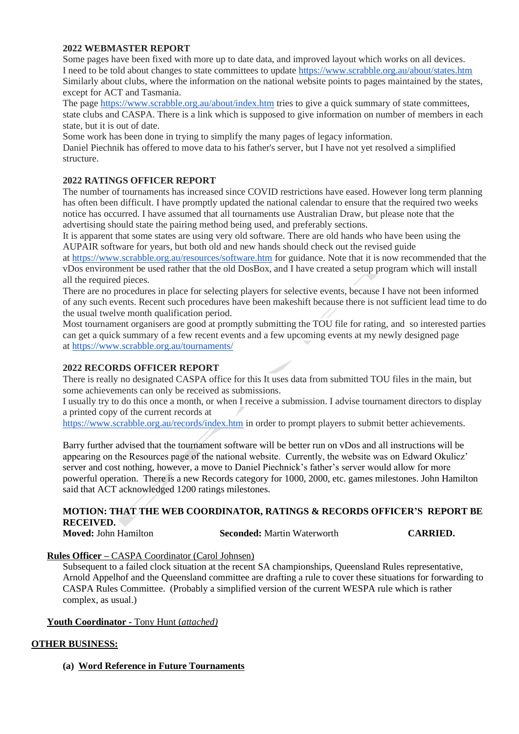# **2022 WEBMASTER REPORT**

Some pages have been fixed with more up to date data, and improved layout which works on all devices. I need to be told about changes to state committees to update <https://www.scrabble.org.au/about/states.htm> Similarly about clubs, where the information on the national website points to pages maintained by the states, except for ACT and Tasmania.

The page <https://www.scrabble.org.au/about/index.htm> tries to give a quick summary of state committees, state clubs and CASPA. There is a link which is supposed to give information on number of members in each state, but it is out of date.

Some work has been done in trying to simplify the many pages of legacy information.

Daniel Piechnik has offered to move data to his father's server, but I have not yet resolved a simplified structure.

## **2022 RATINGS OFFICER REPORT**

The number of tournaments has increased since COVID restrictions have eased. However long term planning has often been difficult. I have promptly updated the national calendar to ensure that the required two weeks notice has occurred. I have assumed that all tournaments use Australian Draw, but please note that the advertising should state the pairing method being used, and preferably sections.

It is apparent that some states are using very old software. There are old hands who have been using the AUPAIR software for years, but both old and new hands should check out the revised guide

at <https://www.scrabble.org.au/resources/software.htm> for guidance. Note that it is now recommended that the vDos environment be used rather that the old DosBox, and I have created a setup program which will install all the required pieces.

There are no procedures in place for selecting players for selective events, because I have not been informed of any such events. Recent such procedures have been makeshift because there is not sufficient lead time to do the usual twelve month qualification period.

Most tournament organisers are good at promptly submitting the TOU file for rating, and so interested parties can get a quick summary of a few recent events and a few upcoming events at my newly designed page at <https://www.scrabble.org.au/tournaments/>

### **2022 RECORDS OFFICER REPORT**

There is really no designated CASPA office for this It uses data from submitted TOU files in the main, but some achievements can only be received as submissions.

I usually try to do this once a month, or when I receive a submission. I advise tournament directors to display a printed copy of the current records at

<https://www.scrabble.org.au/records/index.htm> in order to prompt players to submit better achievements.

Barry further advised that the tournament software will be better run on vDos and all instructions will be appearing on the Resources page of the national website. Currently, the website was on Edward Okulicz' server and cost nothing, however, a move to Daniel Piechnick's father's server would allow for more powerful operation. There is a new Records category for 1000, 2000, etc. games milestones. John Hamilton said that ACT acknowledged 1200 ratings milestones.

# **MOTION: THAT THE WEB COORDINATOR, RATINGS & RECORDS OFFICER'S REPORT BE RECEIVED.**

**Moved:** John Hamilton **Seconded:** Martin Waterworth **CARRIED.**

# **Rules Officer –** CASPA Coordinator (Carol Johnsen)

Subsequent to a failed clock situation at the recent SA championships, Queensland Rules representative, Arnold Appelhof and the Queensland committee are drafting a rule to cover these situations for forwarding to CASPA Rules Committee. (Probably a simplified version of the current WESPA rule which is rather complex, as usual.)

### **Youth Coordinator -** Tony Hunt (*attached)*

# **OTHER BUSINESS:**

**(a) Word Reference in Future Tournaments**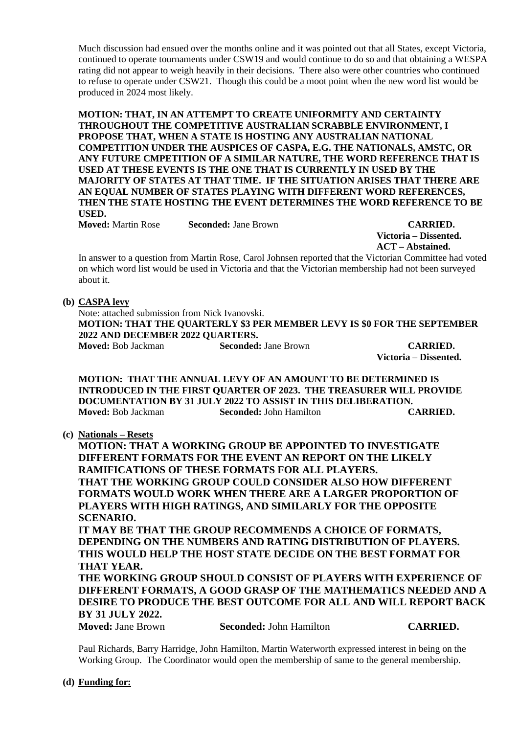Much discussion had ensued over the months online and it was pointed out that all States, except Victoria, continued to operate tournaments under CSW19 and would continue to do so and that obtaining a WESPA rating did not appear to weigh heavily in their decisions. There also were other countries who continued to refuse to operate under CSW21. Though this could be a moot point when the new word list would be produced in 2024 most likely.

**MOTION: THAT, IN AN ATTEMPT TO CREATE UNIFORMITY AND CERTAINTY THROUGHOUT THE COMPETITIVE AUSTRALIAN SCRABBLE ENVIRONMENT, I PROPOSE THAT, WHEN A STATE IS HOSTING ANY AUSTRALIAN NATIONAL COMPETITION UNDER THE AUSPICES OF CASPA, E.G. THE NATIONALS, AMSTC, OR ANY FUTURE CMPETITION OF A SIMILAR NATURE, THE WORD REFERENCE THAT IS USED AT THESE EVENTS IS THE ONE THAT IS CURRENTLY IN USED BY THE MAJORITY OF STATES AT THAT TIME. IF THE SITUATION ARISES THAT THERE ARE AN EQUAL NUMBER OF STATES PLAYING WITH DIFFERENT WORD REFERENCES, THEN THE STATE HOSTING THE EVENT DETERMINES THE WORD REFERENCE TO BE USED.** 

**Moved:** Martin Rose **Seconded:** Jane Brown **CARRIED.**

**Victoria – Dissented. ACT – Abstained.**

In answer to a question from Martin Rose, Carol Johnsen reported that the Victorian Committee had voted on which word list would be used in Victoria and that the Victorian membership had not been surveyed about it.

### **(b) CASPA levy**

Note: attached submission from Nick Ivanovski. **MOTION: THAT THE QUARTERLY \$3 PER MEMBER LEVY IS \$0 FOR THE SEPTEMBER 2022 AND DECEMBER 2022 QUARTERS. Moved:** Bob Jackman **Seconded:** Jane Brown **CARRIED.**

**Victoria – Dissented.**

**MOTION: THAT THE ANNUAL LEVY OF AN AMOUNT TO BE DETERMINED IS INTRODUCED IN THE FIRST QUARTER OF 2023. THE TREASURER WILL PROVIDE DOCUMENTATION BY 31 JULY 2022 TO ASSIST IN THIS DELIBERATION. Moved:** Bob Jackman **Seconded:** John Hamilton **CARRIED.**

**(c) Nationals – Resets**

**MOTION: THAT A WORKING GROUP BE APPOINTED TO INVESTIGATE DIFFERENT FORMATS FOR THE EVENT AN REPORT ON THE LIKELY RAMIFICATIONS OF THESE FORMATS FOR ALL PLAYERS. THAT THE WORKING GROUP COULD CONSIDER ALSO HOW DIFFERENT FORMATS WOULD WORK WHEN THERE ARE A LARGER PROPORTION OF PLAYERS WITH HIGH RATINGS, AND SIMILARLY FOR THE OPPOSITE SCENARIO.**

**IT MAY BE THAT THE GROUP RECOMMENDS A CHOICE OF FORMATS, DEPENDING ON THE NUMBERS AND RATING DISTRIBUTION OF PLAYERS. THIS WOULD HELP THE HOST STATE DECIDE ON THE BEST FORMAT FOR THAT YEAR.**

**THE WORKING GROUP SHOULD CONSIST OF PLAYERS WITH EXPERIENCE OF DIFFERENT FORMATS, A GOOD GRASP OF THE MATHEMATICS NEEDED AND A DESIRE TO PRODUCE THE BEST OUTCOME FOR ALL AND WILL REPORT BACK BY 31 JULY 2022.**

| <b>Moved: Jane Brown</b> |
|--------------------------|
|--------------------------|

**Movement: Seconded: John Hamilton CARRIED.** 

Paul Richards, Barry Harridge, John Hamilton, Martin Waterworth expressed interest in being on the Working Group. The Coordinator would open the membership of same to the general membership.